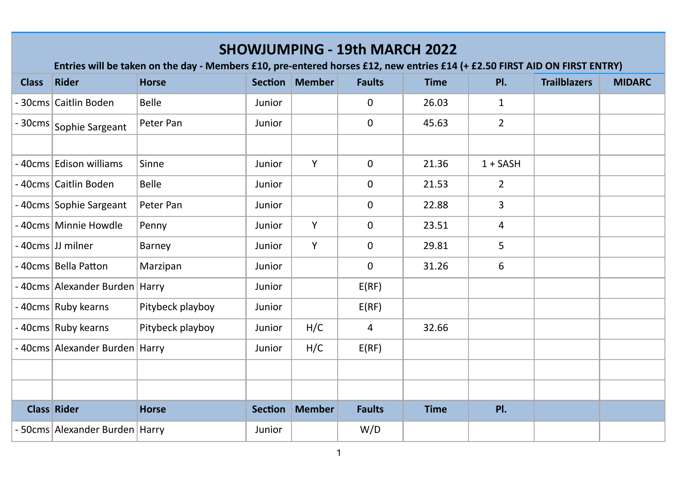|              | <b>SHOWJUMPING - 19th MARCH 2022</b><br>Entries will be taken on the day - Members £10, pre-entered horses £12, new entries £14 (+ £2.50 FIRST AID ON FIRST ENTRY) |                  |                |               |               |             |                |                     |               |  |  |  |
|--------------|--------------------------------------------------------------------------------------------------------------------------------------------------------------------|------------------|----------------|---------------|---------------|-------------|----------------|---------------------|---------------|--|--|--|
| <b>Class</b> | <b>Rider</b>                                                                                                                                                       | <b>Horse</b>     | Section        | <b>Member</b> | <b>Faults</b> | <b>Time</b> | PI.            | <b>Trailblazers</b> | <b>MIDARC</b> |  |  |  |
|              | - 30cms Caitlin Boden                                                                                                                                              | <b>Belle</b>     | Junior         |               | 0             | 26.03       | $\mathbf{1}$   |                     |               |  |  |  |
|              | - 30cms Sophie Sargeant                                                                                                                                            | Peter Pan        | Junior         |               | 0             | 45.63       | $\overline{2}$ |                     |               |  |  |  |
|              | - 40cms Edison williams                                                                                                                                            | Sinne            | Junior         | Y             | $\Omega$      | 21.36       | $1 + SASH$     |                     |               |  |  |  |
|              | -40cms Caitlin Boden                                                                                                                                               | <b>Belle</b>     | Junior         |               | 0             | 21.53       | $\overline{2}$ |                     |               |  |  |  |
|              | -40cms Sophie Sargeant                                                                                                                                             | Peter Pan        | Junior         |               | 0             | 22.88       | 3              |                     |               |  |  |  |
|              | - 40cms Minnie Howdle                                                                                                                                              | Penny            | Junior         | Y             | 0             | 23.51       | 4              |                     |               |  |  |  |
|              | - 40cms JJ milner                                                                                                                                                  | Barney           | Junior         | Υ             | 0             | 29.81       | 5              |                     |               |  |  |  |
|              | - 40cms Bella Patton                                                                                                                                               | Marzipan         | Junior         |               | 0             | 31.26       | 6              |                     |               |  |  |  |
|              | - 40cms Alexander Burden   Harry                                                                                                                                   |                  | Junior         |               | E(RF)         |             |                |                     |               |  |  |  |
|              | - 40cms Ruby kearns                                                                                                                                                | Pitybeck playboy | Junior         |               | E(RF)         |             |                |                     |               |  |  |  |
|              | -40cms Ruby kearns                                                                                                                                                 | Pitybeck playboy | Junior         | H/C           | 4             | 32.66       |                |                     |               |  |  |  |
|              | - 40cms Alexander Burden   Harry                                                                                                                                   |                  | Junior         | H/C           | E(RF)         |             |                |                     |               |  |  |  |
|              |                                                                                                                                                                    |                  |                |               |               |             |                |                     |               |  |  |  |
|              |                                                                                                                                                                    |                  |                |               |               |             |                |                     |               |  |  |  |
|              | <b>Class Rider</b>                                                                                                                                                 | <b>Horse</b>     | <b>Section</b> | <b>Member</b> | <b>Faults</b> | <b>Time</b> | PI.            |                     |               |  |  |  |
|              | - 50cms Alexander Burden   Harry                                                                                                                                   |                  | Junior         |               | W/D           |             |                |                     |               |  |  |  |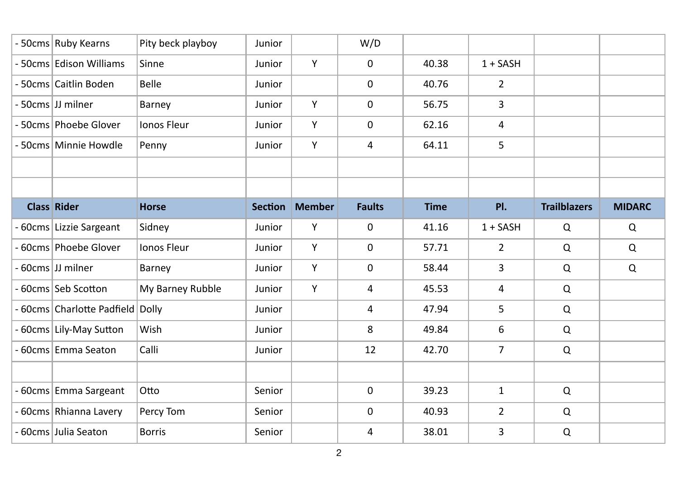| - 50cms Ruby Kearns              | Pity beck playboy  | Junior         |        | W/D           |             |                |                     |               |
|----------------------------------|--------------------|----------------|--------|---------------|-------------|----------------|---------------------|---------------|
| - 50cms Edison Williams          | Sinne              | Junior         | Y      | $\mathbf 0$   | 40.38       | $1 + SASH$     |                     |               |
| - 50cms Caitlin Boden            | Belle              | Junior         |        | $\mathbf 0$   | 40.76       | 2              |                     |               |
| - 50cms JJ milner                | Barney             | Junior         | Y      | $\mathbf 0$   | 56.75       | 3              |                     |               |
| - 50cms Phoebe Glover            | Ionos Fleur        | Junior         | Υ      | $\pmb{0}$     | 62.16       | 4              |                     |               |
| - 50cms Minnie Howdle            | Penny              | Junior         | Υ      | 4             | 64.11       | 5              |                     |               |
|                                  |                    |                |        |               |             |                |                     |               |
| <b>Class Rider</b>               | <b>Horse</b>       | <b>Section</b> | Member | <b>Faults</b> | <b>Time</b> | PI.            | <b>Trailblazers</b> | <b>MIDARC</b> |
|                                  |                    |                |        |               |             |                |                     |               |
| - 60cms Lizzie Sargeant          | Sidney             | Junior         | Y      | $\mathbf 0$   | 41.16       | $1 + SASH$     | $\mathsf Q$         | Q             |
| - 60cms Phoebe Glover            | <b>Ionos Fleur</b> | Junior         | Y      | $\mathbf 0$   | 57.71       | $\overline{2}$ | $\mathsf Q$         | Q             |
| - 60cms JJ milner                | Barney             | Junior         | Y      | $\mathbf 0$   | 58.44       | 3              | $\mathsf Q$         | $\Omega$      |
| - 60cms Seb Scotton              | My Barney Rubble   | Junior         | Y      | 4             | 45.53       | 4              | $\mathsf Q$         |               |
| - 60cms Charlotte Padfield Dolly |                    | Junior         |        | 4             | 47.94       | 5              | $\mathsf Q$         |               |
| - 60cms Lily-May Sutton          | Wish               | Junior         |        | 8             | 49.84       | 6              | $\mathsf Q$         |               |
| - 60cms Emma Seaton              | Calli              | Junior         |        | 12            | 42.70       | $\overline{7}$ | Q                   |               |
|                                  |                    |                |        |               |             |                |                     |               |
| - 60cms Emma Sargeant            | Otto               | Senior         |        | $\mathbf 0$   | 39.23       | $\mathbf{1}$   | $\mathsf Q$         |               |
| - 60cms Rhianna Lavery           | Percy Tom          | Senior         |        | 0             | 40.93       | $\overline{2}$ | $\mathsf Q$         |               |
| - 60cms Julia Seaton             | <b>Borris</b>      | Senior         |        | 4             | 38.01       | 3              | $\mathsf Q$         |               |
|                                  |                    |                |        |               |             |                |                     |               |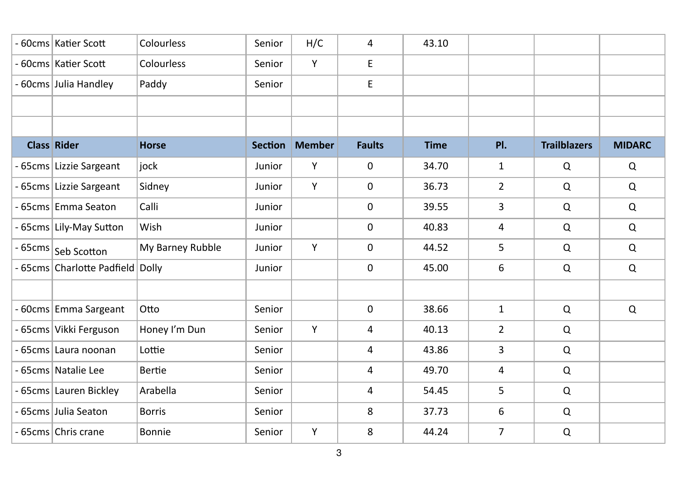| - 60cms Katier Scott             | Colourless       | Senior         | H/C           | 4              | 43.10       |                |                     |               |
|----------------------------------|------------------|----------------|---------------|----------------|-------------|----------------|---------------------|---------------|
| - 60cms Katier Scott             | Colourless       | Senior         | Υ             | E              |             |                |                     |               |
| - 60cms Julia Handley            | Paddy            | Senior         |               | E              |             |                |                     |               |
|                                  |                  |                |               |                |             |                |                     |               |
|                                  |                  |                |               |                |             |                |                     |               |
| <b>Class Rider</b>               | <b>Horse</b>     | <b>Section</b> | <b>Member</b> | <b>Faults</b>  | <b>Time</b> | PI.            | <b>Trailblazers</b> | <b>MIDARC</b> |
| - 65cms Lizzie Sargeant          | jock             | Junior         | Υ             | $\mathbf 0$    | 34.70       | $\mathbf{1}$   | Q                   | Q             |
| - 65cms Lizzie Sargeant          | Sidney           | Junior         | Y             | $\mathbf 0$    | 36.73       | $\overline{2}$ | $\Omega$            | Q             |
| - 65cms Emma Seaton              | Calli            | Junior         |               | $\mathsf 0$    | 39.55       | 3              | Q                   | Q             |
| - 65cms Lily-May Sutton          | Wish             | Junior         |               | $\mathbf 0$    | 40.83       | 4              | Q                   | Q             |
| - 65cms Seb Scotton              | My Barney Rubble | Junior         | Y             | $\mathbf 0$    | 44.52       | 5              | $\mathsf Q$         | Q             |
| - 65cms Charlotte Padfield Dolly |                  | Junior         |               | $\mathbf 0$    | 45.00       | 6              | $\mathsf Q$         | Q             |
|                                  |                  |                |               |                |             |                |                     |               |
| - 60cms Emma Sargeant            | Otto             | Senior         |               | $\mathbf 0$    | 38.66       | $\mathbf{1}$   | Q                   | Q             |
| - 65cms Vikki Ferguson           | Honey I'm Dun    | Senior         | Y             | $\overline{4}$ | 40.13       | $\overline{2}$ | Q                   |               |
| - 65cms Laura noonan             | Lottie           | Senior         |               | 4              | 43.86       | 3              | $\mathsf Q$         |               |
| - 65cms Natalie Lee              | <b>Bertie</b>    | Senior         |               | 4              | 49.70       | 4              | $\mathsf Q$         |               |
| - 65cms Lauren Bickley           | Arabella         | Senior         |               | 4              | 54.45       | 5              | $\mathsf Q$         |               |
| - 65cms Julia Seaton             | <b>Borris</b>    | Senior         |               | 8              | 37.73       | 6              | $\mathsf Q$         |               |
| - 65cms Chris crane              | Bonnie           | Senior         | Υ             | 8              | 44.24       | $\overline{7}$ | $\mathsf Q$         |               |
|                                  |                  |                |               |                |             |                |                     |               |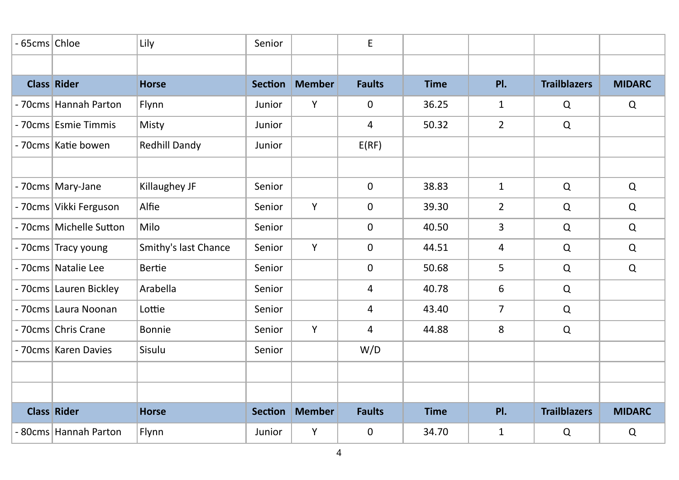| - 65cms Chloe      |                         | Lily                 | Senior         |               | E             |             |                |                     |               |
|--------------------|-------------------------|----------------------|----------------|---------------|---------------|-------------|----------------|---------------------|---------------|
|                    |                         |                      |                |               |               |             |                |                     |               |
| <b>Class Rider</b> |                         | <b>Horse</b>         | <b>Section</b> | <b>Member</b> | <b>Faults</b> | <b>Time</b> | PI.            | <b>Trailblazers</b> | <b>MIDARC</b> |
|                    | - 70cms Hannah Parton   | Flynn                | Junior         | Y             | 0             | 36.25       | $\mathbf{1}$   | Q                   | Q             |
|                    | - 70cms Esmie Timmis    | Misty                | Junior         |               | 4             | 50.32       | $\overline{2}$ | Q                   |               |
|                    | - 70cms Katie bowen     | Redhill Dandy        | Junior         |               | E(RF)         |             |                |                     |               |
|                    |                         |                      |                |               |               |             |                |                     |               |
|                    | - 70cms Mary-Jane       | Killaughey JF        | Senior         |               | $\mathbf 0$   | 38.83       | $\mathbf{1}$   | Q                   | Q             |
|                    | - 70cms Vikki Ferguson  | Alfie                | Senior         | Y             | 0             | 39.30       | $\overline{2}$ | Q                   | Q             |
|                    | - 70cms Michelle Sutton | Milo                 | Senior         |               | 0             | 40.50       | 3              | Q                   | Q             |
|                    | - 70cms Tracy young     | Smithy's last Chance | Senior         | Y             | $\mathbf 0$   | 44.51       | 4              | Q                   | $\mathsf Q$   |
|                    | - 70cms Natalie Lee     | Bertie               | Senior         |               | 0             | 50.68       | 5              | Q                   | $\mathsf Q$   |
|                    | - 70cms Lauren Bickley  | Arabella             | Senior         |               | 4             | 40.78       | 6              | Q                   |               |
|                    | - 70cms Laura Noonan    | Lottie               | Senior         |               | 4             | 43.40       | $\overline{7}$ | Q                   |               |
|                    | - 70cms Chris Crane     | Bonnie               | Senior         | Y             | 4             | 44.88       | 8              | Q                   |               |
|                    | - 70cms Karen Davies    | Sisulu               | Senior         |               | W/D           |             |                |                     |               |
|                    |                         |                      |                |               |               |             |                |                     |               |
|                    |                         |                      |                |               |               |             |                |                     |               |
| <b>Class Rider</b> |                         | <b>Horse</b>         | <b>Section</b> | <b>Member</b> | <b>Faults</b> | <b>Time</b> | PI.            | <b>Trailblazers</b> | <b>MIDARC</b> |
|                    | - 80cms Hannah Parton   | Flynn                | Junior         | Υ             | 0             | 34.70       | $\mathbf{1}$   | Q                   | Q             |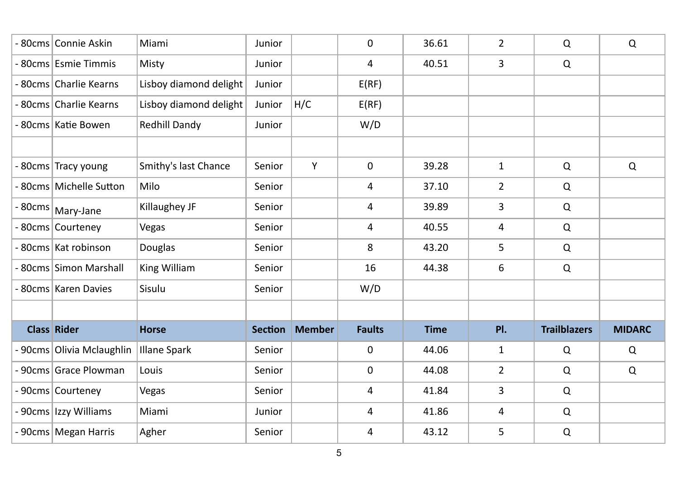| - 80cms Connie Askin      | Miami                  | Junior         |               | 0             | 36.61       | $\overline{2}$ | Q                   | Q             |  |
|---------------------------|------------------------|----------------|---------------|---------------|-------------|----------------|---------------------|---------------|--|
| - 80cms Esmie Timmis      | Misty                  | Junior         |               | 4             | 40.51       | 3              | $\mathsf Q$         |               |  |
| - 80cms Charlie Kearns    | Lisboy diamond delight | Junior         |               | E(RF)         |             |                |                     |               |  |
| - 80cms Charlie Kearns    | Lisboy diamond delight | Junior         | H/C           | E(RF)         |             |                |                     |               |  |
| - 80cms Katie Bowen       | Redhill Dandy          | Junior         |               | W/D           |             |                |                     |               |  |
| - 80cms Tracy young       | Smithy's last Chance   | Senior         | Υ             | $\mathbf 0$   | 39.28       | $\mathbf{1}$   | $\mathsf Q$         | Q             |  |
| - 80cms Michelle Sutton   | Milo                   | Senior         |               | 4             | 37.10       | $\overline{2}$ | $\mathsf Q$         |               |  |
| - 80cms   Mary-Jane       | Killaughey JF          | Senior         |               | 4             | 39.89       | 3              | $\mathsf Q$         |               |  |
| - 80cms Courteney         | Vegas                  | Senior         |               | 4             | 40.55       | 4              | $\mathsf Q$         |               |  |
| - 80cms   Kat robinson    | Douglas                | Senior         |               | 8             | 43.20       | 5              | $\mathsf Q$         |               |  |
| - 80cms Simon Marshall    | King William           | Senior         |               | 16            | 44.38       | 6              | $\mathsf Q$         |               |  |
| - 80cms Karen Davies      | Sisulu                 | Senior         |               | W/D           |             |                |                     |               |  |
|                           |                        |                |               |               |             |                |                     |               |  |
| <b>Class Rider</b>        | <b>Horse</b>           | <b>Section</b> | <b>Member</b> | <b>Faults</b> | <b>Time</b> | PI.            | <b>Trailblazers</b> | <b>MIDARC</b> |  |
| - 90cms Olivia Mclaughlin | <b>Illane Spark</b>    | Senior         |               | $\pmb{0}$     | 44.06       | $\mathbf{1}$   | $\mathsf Q$         | Q             |  |
| - 90cms Grace Plowman     | Louis                  | Senior         |               | 0             | 44.08       | $\overline{2}$ | $\mathsf Q$         | Q             |  |
| - 90cms Courteney         | Vegas                  | Senior         |               | 4             | 41.84       | 3              | $\mathsf Q$         |               |  |
| - 90cms Izzy Williams     | Miami                  | Junior         |               | 4             | 41.86       | 4              | $\mathsf Q$         |               |  |
| - 90cms Megan Harris      | Agher                  | Senior         |               | 4             | 43.12       | 5              | $\mathsf Q$         |               |  |
|                           |                        |                |               |               |             |                |                     |               |  |